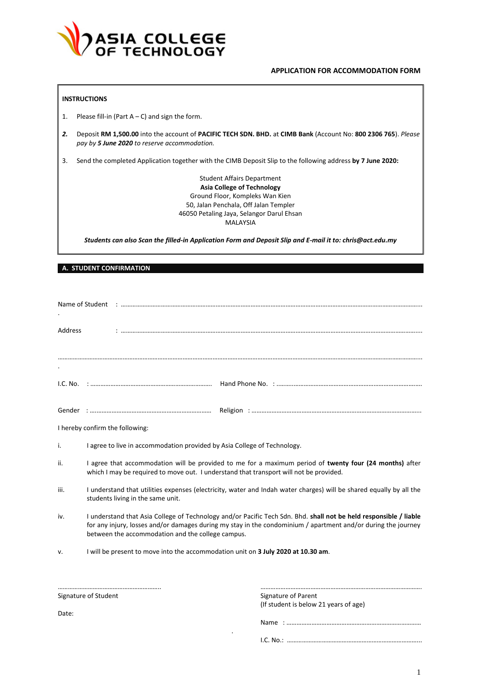

## **APPLICATION FOR ACCOMMODATION FORM**

## **INSTRUCTIONS**

- 1. Please fill-in (Part  $A C$ ) and sign the form.
- *2.* Deposit **RM 1,500.00** into the account of **PACIFIC TECH SDN. BHD.** at **CIMB Bank** (Account No: **800 2306 765**). *Please pay by 5 June 2020 to reserve accommodation.*
- 3. Send the completed Application together with the CIMB Deposit Slip to the following address **by 7 June 2020:**

Student Affairs Department **Asia College of Technology** Ground Floor, Kompleks Wan Kien 50, Jalan Penchala, Off Jalan Templer 46050 Petaling Jaya, Selangor Darul Ehsan MALAYSIA

*Students can also Scan the filled-in Application Form and Deposit Slip and E-mail it to: chris@act.edu.my*

#### **A. STUDENT CONFIRMATION**

| Address |                                                                                                                                                                                                                                                                                         |                                                              |  |
|---------|-----------------------------------------------------------------------------------------------------------------------------------------------------------------------------------------------------------------------------------------------------------------------------------------|--------------------------------------------------------------|--|
|         |                                                                                                                                                                                                                                                                                         |                                                              |  |
|         |                                                                                                                                                                                                                                                                                         |                                                              |  |
|         |                                                                                                                                                                                                                                                                                         |                                                              |  |
|         | I hereby confirm the following:                                                                                                                                                                                                                                                         |                                                              |  |
| i.      | I agree to live in accommodation provided by Asia College of Technology.                                                                                                                                                                                                                |                                                              |  |
| ii.     | I agree that accommodation will be provided to me for a maximum period of twenty four (24 months) after<br>which I may be required to move out. I understand that transport will not be provided.                                                                                       |                                                              |  |
| iii.    | I understand that utilities expenses (electricity, water and Indah water charges) will be shared equally by all the<br>students living in the same unit.                                                                                                                                |                                                              |  |
| iv.     | I understand that Asia College of Technology and/or Pacific Tech Sdn. Bhd. shall not be held responsible / liable<br>for any injury, losses and/or damages during my stay in the condominium / apartment and/or during the journey<br>between the accommodation and the college campus. |                                                              |  |
| v.      | I will be present to move into the accommodation unit on 3 July 2020 at 10.30 am.                                                                                                                                                                                                       |                                                              |  |
|         |                                                                                                                                                                                                                                                                                         |                                                              |  |
|         | Signature of Student                                                                                                                                                                                                                                                                    | Signature of Parent<br>(If student is below 21 years of age) |  |

.

Date:

Name : ………………………………………………………………………

I.C. No.: ……………………………………………………………………...